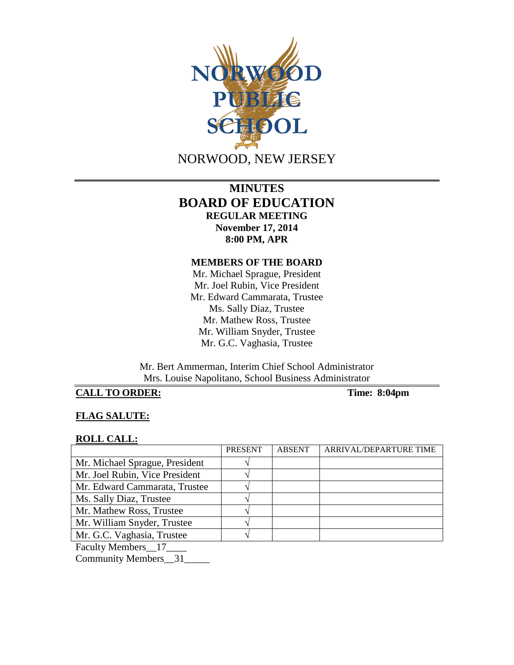

# **MINUTES BOARD OF EDUCATION REGULAR MEETING November 17, 2014 8:00 PM, APR**

### **MEMBERS OF THE BOARD**

Mr. Michael Sprague, President Mr. Joel Rubin, Vice President Mr. Edward Cammarata, Trustee Ms. Sally Diaz, Trustee Mr. Mathew Ross, Trustee Mr. William Snyder, Trustee Mr. G.C. Vaghasia, Trustee

Mr. Bert Ammerman, Interim Chief School Administrator Mrs. Louise Napolitano, School Business Administrator

# **CALL TO ORDER: Time: 8:04pm**

## **FLAG SALUTE:**

#### **ROLL CALL:**

|                                                                                                                       | <b>PRESENT</b> | <b>ABSENT</b> | ARRIVAL/DEPARTURE TIME |
|-----------------------------------------------------------------------------------------------------------------------|----------------|---------------|------------------------|
| Mr. Michael Sprague, President                                                                                        |                |               |                        |
| Mr. Joel Rubin, Vice President                                                                                        |                |               |                        |
| Mr. Edward Cammarata, Trustee                                                                                         |                |               |                        |
| Ms. Sally Diaz, Trustee                                                                                               |                |               |                        |
| Mr. Mathew Ross, Trustee                                                                                              |                |               |                        |
| Mr. William Snyder, Trustee                                                                                           |                |               |                        |
| Mr. G.C. Vaghasia, Trustee                                                                                            |                |               |                        |
| <b>The Second Second Second Second Second Second Second Second Second Second Second Second Second Second Second S</b> |                |               |                        |

Faculty Members\_\_17\_\_\_\_

Community Members\_\_31\_\_\_\_\_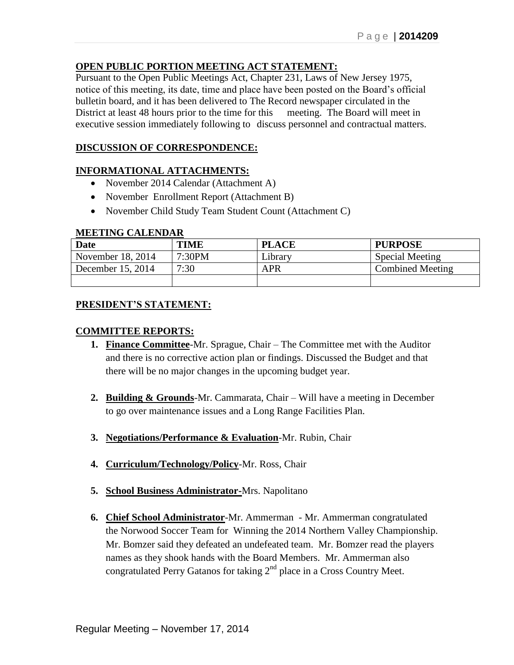# **OPEN PUBLIC PORTION MEETING ACT STATEMENT:**

Pursuant to the Open Public Meetings Act, Chapter 231, Laws of New Jersey 1975, notice of this meeting, its date, time and place have been posted on the Board's official bulletin board, and it has been delivered to The Record newspaper circulated in the District at least 48 hours prior to the time for this meeting. The Board will meet in executive session immediately following to discuss personnel and contractual matters.

### **DISCUSSION OF CORRESPONDENCE:**

### **INFORMATIONAL ATTACHMENTS:**

- November 2014 Calendar (Attachment A)
- November Enrollment Report (Attachment B)
- November Child Study Team Student Count (Attachment C)

#### **MEETING CALENDAR**

| <b>Date</b>       | <b>TIME</b> | <b>PLACE</b> | <b>PURPOSE</b>          |
|-------------------|-------------|--------------|-------------------------|
| November 18, 2014 | 7:30PM      | Library      | <b>Special Meeting</b>  |
| December 15, 2014 | 7:30        | APR          | <b>Combined Meeting</b> |
|                   |             |              |                         |

### **PRESIDENT'S STATEMENT:**

### **COMMITTEE REPORTS:**

- **1. Finance Committee**-Mr. Sprague, Chair The Committee met with the Auditor and there is no corrective action plan or findings. Discussed the Budget and that there will be no major changes in the upcoming budget year.
- **2. Building & Grounds**-Mr. Cammarata, Chair Will have a meeting in December to go over maintenance issues and a Long Range Facilities Plan.
- **3. Negotiations/Performance & Evaluation**-Mr. Rubin, Chair
- **4. Curriculum/Technology/Policy**-Mr. Ross, Chair
- **5. School Business Administrator-**Mrs. Napolitano
- **6. Chief School Administrator**-Mr. Ammerman Mr. Ammerman congratulated the Norwood Soccer Team for Winning the 2014 Northern Valley Championship. Mr. Bomzer said they defeated an undefeated team. Mr. Bomzer read the players names as they shook hands with the Board Members. Mr. Ammerman also congratulated Perry Gatanos for taking 2<sup>nd</sup> place in a Cross Country Meet.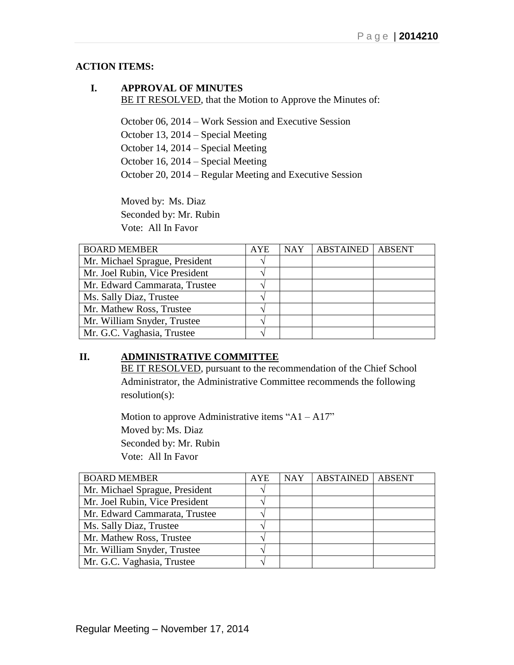# **ACTION ITEMS:**

# **I. APPROVAL OF MINUTES** BE IT RESOLVED, that the Motion to Approve the Minutes of:

October 06, 2014 – Work Session and Executive Session October 13, 2014 – Special Meeting October 14, 2014 – Special Meeting October 16, 2014 – Special Meeting October 20, 2014 – Regular Meeting and Executive Session

Moved by: Ms. Diaz Seconded by: Mr. Rubin Vote: All In Favor

| <b>BOARD MEMBER</b>            | <b>AYE</b> | <b>NAY</b> | <b>ABSTAINED</b> | <b>ABSENT</b> |
|--------------------------------|------------|------------|------------------|---------------|
| Mr. Michael Sprague, President |            |            |                  |               |
| Mr. Joel Rubin, Vice President |            |            |                  |               |
| Mr. Edward Cammarata, Trustee  |            |            |                  |               |
| Ms. Sally Diaz, Trustee        |            |            |                  |               |
| Mr. Mathew Ross, Trustee       |            |            |                  |               |
| Mr. William Snyder, Trustee    |            |            |                  |               |
| Mr. G.C. Vaghasia, Trustee     |            |            |                  |               |

# **II. ADMINISTRATIVE COMMITTEE**

BE IT RESOLVED, pursuant to the recommendation of the Chief School Administrator, the Administrative Committee recommends the following resolution(s):

Motion to approve Administrative items " $A1 - A17$ " Moved by: Ms. Diaz Seconded by: Mr. Rubin Vote: All In Favor

| <b>BOARD MEMBER</b>            | <b>AYE</b> | <b>NAY</b> | <b>ABSTAINED</b> | <b>ABSENT</b> |
|--------------------------------|------------|------------|------------------|---------------|
| Mr. Michael Sprague, President |            |            |                  |               |
| Mr. Joel Rubin, Vice President |            |            |                  |               |
| Mr. Edward Cammarata, Trustee  |            |            |                  |               |
| Ms. Sally Diaz, Trustee        |            |            |                  |               |
| Mr. Mathew Ross, Trustee       |            |            |                  |               |
| Mr. William Snyder, Trustee    |            |            |                  |               |
| Mr. G.C. Vaghasia, Trustee     |            |            |                  |               |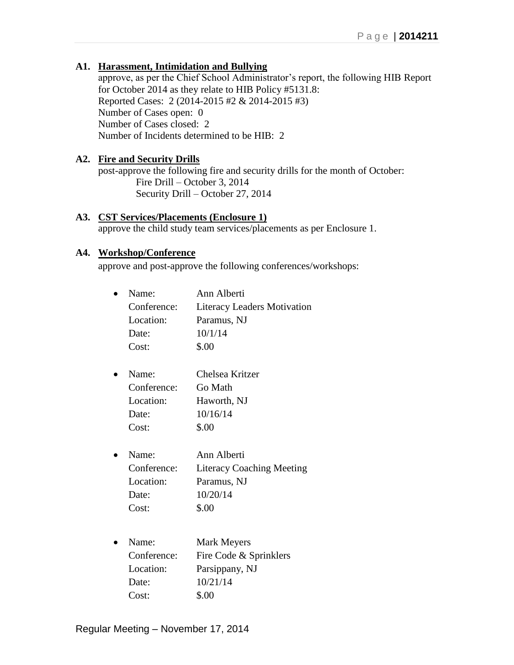# **A1. Harassment, Intimidation and Bullying**

approve, as per the Chief School Administrator's report, the following HIB Report for October 2014 as they relate to HIB Policy #5131.8: Reported Cases: 2 (2014-2015 #2 & 2014-2015 #3) Number of Cases open: 0 Number of Cases closed: 2 Number of Incidents determined to be HIB: 2

# **A2. Fire and Security Drills**

post-approve the following fire and security drills for the month of October: Fire Drill – October 3, 2014 Security Drill – October 27, 2014

# **A3. CST Services/Placements (Enclosure 1)**

approve the child study team services/placements as per Enclosure 1.

# **A4. Workshop/Conference**

approve and post-approve the following conferences/workshops:

| Name:       | Ann Alberti                        |
|-------------|------------------------------------|
| Conference: | <b>Literacy Leaders Motivation</b> |
| Location:   | Paramus, NJ                        |
| Date:       | 10/1/14                            |
| Cost:       | \$.00                              |
| Name:       | Chelsea Kritzer                    |
| Conference: | Go Math                            |
| Location:   | Haworth, NJ                        |
| Date:       | 10/16/14                           |
| Cost:       | \$.00                              |
| Name:       | Ann Alberti                        |
| Conference: | <b>Literacy Coaching Meeting</b>   |
| Location:   | Paramus, NJ                        |
| Date:       | 10/20/14                           |
| Cost:       | \$.00                              |
| Name:       |                                    |
|             | <b>Mark Meyers</b>                 |
| Conference: | Fire Code & Sprinklers             |
| Location:   | Parsippany, NJ                     |
| Date:       | 10/21/14                           |
| Cost:       | \$.00                              |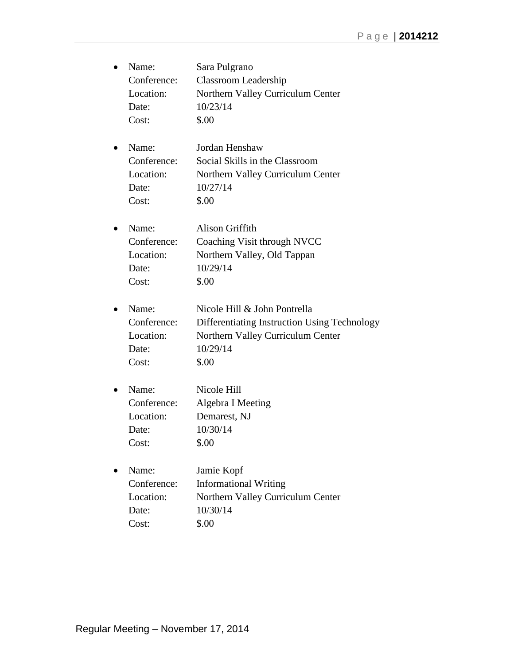| Name:       | Sara Pulgrano                                |
|-------------|----------------------------------------------|
| Conference: | Classroom Leadership                         |
| Location:   | Northern Valley Curriculum Center            |
| Date:       | 10/23/14                                     |
| Cost:       | \$.00                                        |
| Name:       | Jordan Henshaw                               |
| Conference: | Social Skills in the Classroom               |
| Location:   | Northern Valley Curriculum Center            |
| Date:       | 10/27/14                                     |
| Cost:       | \$.00                                        |
| Name:       | <b>Alison Griffith</b>                       |
| Conference: | Coaching Visit through NVCC                  |
| Location:   | Northern Valley, Old Tappan                  |
| Date:       | 10/29/14                                     |
| Cost:       | \$.00                                        |
| Name:       | Nicole Hill & John Pontrella                 |
| Conference: | Differentiating Instruction Using Technology |
| Location:   | Northern Valley Curriculum Center            |
| Date:       | 10/29/14                                     |
| Cost:       | \$.00                                        |
| Name:       | Nicole Hill                                  |
| Conference: | Algebra I Meeting                            |
| Location:   | Demarest, NJ                                 |
| Date:       | 10/30/14                                     |
| Cost:       | \$.00                                        |
| Name:       | Jamie Kopf                                   |
| Conference: | <b>Informational Writing</b>                 |
| Location:   | Northern Valley Curriculum Center            |
| Date:       | 10/30/14                                     |
| Cost:       | \$.00                                        |
|             |                                              |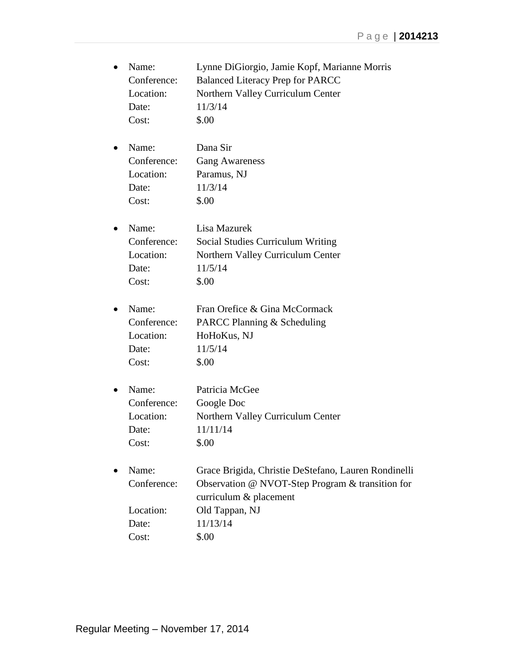| $\bullet$ | Name:       | Lynne DiGiorgio, Jamie Kopf, Marianne Morris         |
|-----------|-------------|------------------------------------------------------|
|           | Conference: | <b>Balanced Literacy Prep for PARCC</b>              |
|           | Location:   | Northern Valley Curriculum Center                    |
|           | Date:       | 11/3/14                                              |
|           | Cost:       | \$.00                                                |
| $\bullet$ | Name:       | Dana Sir                                             |
|           | Conference: | <b>Gang Awareness</b>                                |
|           | Location:   | Paramus, NJ                                          |
|           | Date:       | 11/3/14                                              |
|           | Cost:       | \$.00                                                |
| $\bullet$ | Name:       | Lisa Mazurek                                         |
|           | Conference: | <b>Social Studies Curriculum Writing</b>             |
|           | Location:   | Northern Valley Curriculum Center                    |
|           | Date:       | 11/5/14                                              |
|           | Cost:       | \$.00                                                |
| $\bullet$ | Name:       | Fran Orefice & Gina McCormack                        |
|           | Conference: | PARCC Planning & Scheduling                          |
|           | Location:   | HoHoKus, NJ                                          |
|           | Date:       | 11/5/14                                              |
|           | Cost:       | \$.00                                                |
| $\bullet$ | Name:       | Patricia McGee                                       |
|           | Conference: | Google Doc                                           |
|           | Location:   | Northern Valley Curriculum Center                    |
|           | Date:       | 11/11/14                                             |
|           | Cost:       | \$.00                                                |
|           | Name:       | Grace Brigida, Christie DeStefano, Lauren Rondinelli |
|           | Conference: | Observation @ NVOT-Step Program & transition for     |
|           |             | curriculum & placement                               |
|           | Location:   | Old Tappan, NJ                                       |
|           | Date:       | 11/13/14                                             |
|           | Cost:       | \$.00                                                |
|           |             |                                                      |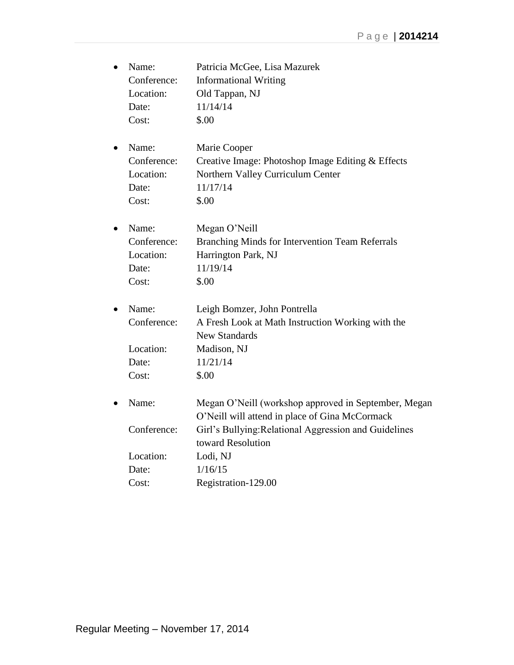| $\bullet$ | Name:       | Patricia McGee, Lisa Mazurek                                                                           |
|-----------|-------------|--------------------------------------------------------------------------------------------------------|
|           | Conference: | <b>Informational Writing</b>                                                                           |
|           | Location:   | Old Tappan, NJ                                                                                         |
|           | Date:       | 11/14/14                                                                                               |
|           | Cost:       | \$.00                                                                                                  |
| $\bullet$ | Name:       | Marie Cooper                                                                                           |
|           | Conference: | Creative Image: Photoshop Image Editing & Effects                                                      |
|           | Location:   | Northern Valley Curriculum Center                                                                      |
|           | Date:       | 11/17/14                                                                                               |
|           | Cost:       | \$.00                                                                                                  |
| $\bullet$ | Name:       | Megan O'Neill                                                                                          |
|           | Conference: | <b>Branching Minds for Intervention Team Referrals</b>                                                 |
|           | Location:   | Harrington Park, NJ                                                                                    |
|           | Date:       | 11/19/14                                                                                               |
|           | Cost:       | \$.00                                                                                                  |
| $\bullet$ | Name:       | Leigh Bomzer, John Pontrella                                                                           |
|           | Conference: | A Fresh Look at Math Instruction Working with the                                                      |
|           |             | <b>New Standards</b>                                                                                   |
|           | Location:   | Madison, NJ                                                                                            |
|           | Date:       | 11/21/14                                                                                               |
|           | Cost:       | \$.00                                                                                                  |
| $\bullet$ | Name:       | Megan O'Neill (workshop approved in September, Megan<br>O'Neill will attend in place of Gina McCormack |
|           | Conference: | Girl's Bullying: Relational Aggression and Guidelines                                                  |
|           |             | toward Resolution                                                                                      |
|           | Location:   | Lodi, NJ                                                                                               |
|           | Date:       | 1/16/15                                                                                                |
|           | Cost:       | Registration-129.00                                                                                    |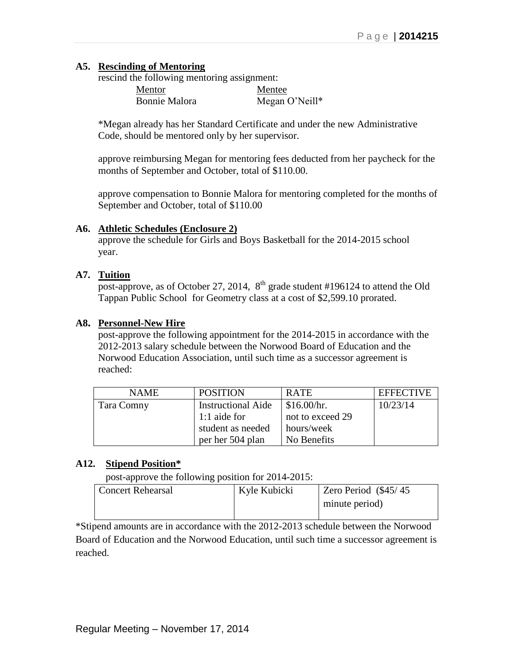## **A5. Rescinding of Mentoring**

rescind the following mentoring assignment:

| <b>Mentor</b> | Mentee         |
|---------------|----------------|
| Bonnie Malora | Megan O'Neill* |

\*Megan already has her Standard Certificate and under the new Administrative Code, should be mentored only by her supervisor.

approve reimbursing Megan for mentoring fees deducted from her paycheck for the months of September and October, total of \$110.00.

approve compensation to Bonnie Malora for mentoring completed for the months of September and October, total of \$110.00

### **A6. Athletic Schedules (Enclosure 2)**

approve the schedule for Girls and Boys Basketball for the 2014-2015 school year.

# **A7. Tuition**

post-approve, as of October 27, 2014,  $8<sup>th</sup>$  grade student #196124 to attend the Old Tappan Public School for Geometry class at a cost of \$2,599.10 prorated.

### **A8. Personnel-New Hire**

post-approve the following appointment for the 2014-2015 in accordance with the 2012-2013 salary schedule between the Norwood Board of Education and the Norwood Education Association, until such time as a successor agreement is reached:

| <b>NAME</b> | <b>POSITION</b>           | <b>RATE</b>      | <b>EFFECTIVE</b> |
|-------------|---------------------------|------------------|------------------|
| Tara Comny  | <b>Instructional Aide</b> | \$16.00/hr.      | 10/23/14         |
|             | 1:1 aide for              | not to exceed 29 |                  |
|             | student as needed         | hours/week       |                  |
|             | per her 504 plan          | No Benefits      |                  |

### **A12. Stipend Position\***

post-approve the following position for 2014-2015:

| <b>Concert Rehearsal</b> | Kyle Kubicki | Zero Period (\$45/45) |
|--------------------------|--------------|-----------------------|
|                          |              | minute period)        |
|                          |              |                       |

\*Stipend amounts are in accordance with the 2012-2013 schedule between the Norwood Board of Education and the Norwood Education, until such time a successor agreement is reached.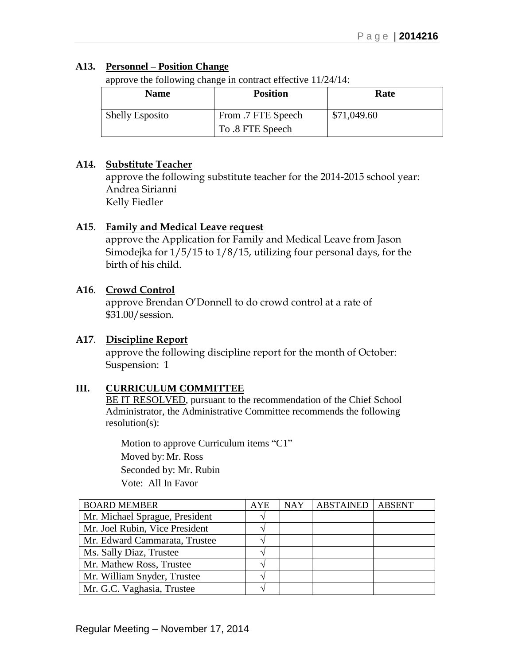# **A13. Personnel – Position Change**

approve the following change in contract effective 11/24/14:

| Name                   | <b>Position</b>    | Rate        |
|------------------------|--------------------|-------------|
| <b>Shelly Esposito</b> | From .7 FTE Speech | \$71,049.60 |
|                        | To .8 FTE Speech   |             |

# **A14. Substitute Teacher**

approve the following substitute teacher for the 2014-2015 school year: Andrea Sirianni Kelly Fiedler

# **A15**. **Family and Medical Leave request**

approve the Application for Family and Medical Leave from Jason Simodejka for 1/5/15 to 1/8/15, utilizing four personal days, for the birth of his child.

# **A16**. **Crowd Control**

approve Brendan O'Donnell to do crowd control at a rate of \$31.00/session.

# **A17**. **Discipline Report**

approve the following discipline report for the month of October: Suspension: 1

# **III. CURRICULUM COMMITTEE**

BE IT RESOLVED, pursuant to the recommendation of the Chief School Administrator, the Administrative Committee recommends the following resolution(s):

Motion to approve Curriculum items "C1" Moved by: Mr. Ross Seconded by: Mr. Rubin Vote: All In Favor

| <b>BOARD MEMBER</b>            | <b>AYE</b> | <b>NAY</b> | <b>ABSTAINED</b> | <b>ABSENT</b> |
|--------------------------------|------------|------------|------------------|---------------|
| Mr. Michael Sprague, President |            |            |                  |               |
| Mr. Joel Rubin, Vice President |            |            |                  |               |
| Mr. Edward Cammarata, Trustee  |            |            |                  |               |
| Ms. Sally Diaz, Trustee        |            |            |                  |               |
| Mr. Mathew Ross, Trustee       |            |            |                  |               |
| Mr. William Snyder, Trustee    |            |            |                  |               |
| Mr. G.C. Vaghasia, Trustee     |            |            |                  |               |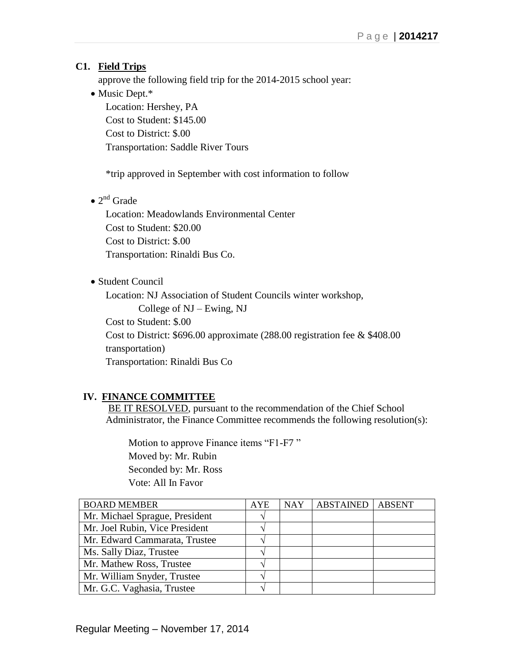# **C1. Field Trips**

approve the following field trip for the 2014-2015 school year:

• Music Dept.\* Location: Hershey, PA Cost to Student: \$145.00 Cost to District: \$.00 Transportation: Saddle River Tours

\*trip approved in September with cost information to follow

 $\bullet$  2<sup>nd</sup> Grade

Location: Meadowlands Environmental Center Cost to Student: \$20.00 Cost to District: \$.00 Transportation: Rinaldi Bus Co.

Student Council

Location: NJ Association of Student Councils winter workshop,

College of NJ – Ewing, NJ

Cost to Student: \$.00

Cost to District: \$696.00 approximate (288.00 registration fee & \$408.00

transportation)

Transportation: Rinaldi Bus Co

# **IV. FINANCE COMMITTEE**

BE IT RESOLVED, pursuant to the recommendation of the Chief School Administrator, the Finance Committee recommends the following resolution(s):

Motion to approve Finance items "F1-F7" Moved by: Mr. Rubin Seconded by: Mr. Ross Vote: All In Favor

| <b>BOARD MEMBER</b>            | <b>AYE</b>    | <b>NAY</b> | <b>ABSTAINED</b> | <b>ABSENT</b> |
|--------------------------------|---------------|------------|------------------|---------------|
| Mr. Michael Sprague, President | $\mathcal{N}$ |            |                  |               |
| Mr. Joel Rubin, Vice President |               |            |                  |               |
| Mr. Edward Cammarata, Trustee  |               |            |                  |               |
| Ms. Sally Diaz, Trustee        | ٦             |            |                  |               |
| Mr. Mathew Ross, Trustee       |               |            |                  |               |
| Mr. William Snyder, Trustee    |               |            |                  |               |
| Mr. G.C. Vaghasia, Trustee     | Л             |            |                  |               |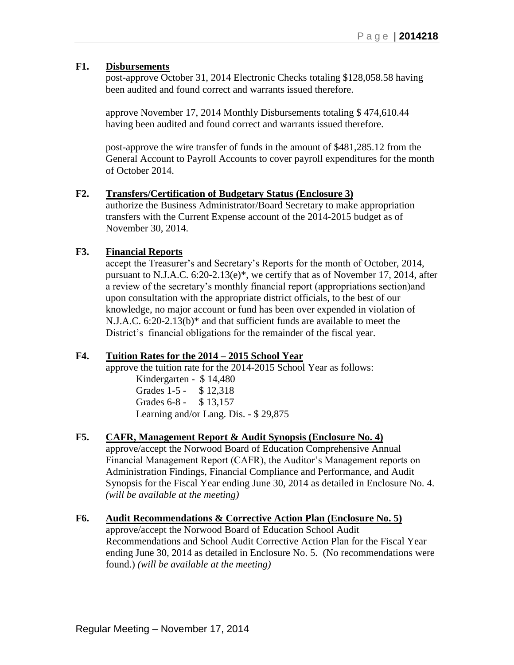### **F1. Disbursements**

post-approve October 31, 2014 Electronic Checks totaling \$128,058.58 having been audited and found correct and warrants issued therefore.

approve November 17, 2014 Monthly Disbursements totaling \$ 474,610.44 having been audited and found correct and warrants issued therefore.

post-approve the wire transfer of funds in the amount of \$481,285.12 from the General Account to Payroll Accounts to cover payroll expenditures for the month of October 2014.

### **F2. Transfers/Certification of Budgetary Status (Enclosure 3)**

authorize the Business Administrator/Board Secretary to make appropriation transfers with the Current Expense account of the 2014-2015 budget as of November 30, 2014.

# **F3. Financial Reports**

accept the Treasurer's and Secretary's Reports for the month of October, 2014, pursuant to N.J.A.C. 6:20-2.13(e)\*, we certify that as of November 17, 2014, after a review of the secretary's monthly financial report (appropriations section)and upon consultation with the appropriate district officials, to the best of our knowledge, no major account or fund has been over expended in violation of N.J.A.C. 6:20-2.13(b)\* and that sufficient funds are available to meet the District's financial obligations for the remainder of the fiscal year.

# **F4. Tuition Rates for the 2014 – 2015 School Year**

approve the tuition rate for the 2014-2015 School Year as follows:

Kindergarten - \$ 14,480 Grades 1-5 - \$ 12,318 Grades 6-8 - \$13,157 Learning and/or Lang. Dis. - \$ 29,875

# **F5. CAFR, Management Report & Audit Synopsis (Enclosure No. 4)**

approve/accept the Norwood Board of Education Comprehensive Annual Financial Management Report (CAFR), the Auditor's Management reports on Administration Findings, Financial Compliance and Performance, and Audit Synopsis for the Fiscal Year ending June 30, 2014 as detailed in Enclosure No. 4. *(will be available at the meeting)*

# **F6. Audit Recommendations & Corrective Action Plan (Enclosure No. 5)**

approve/accept the Norwood Board of Education School Audit Recommendations and School Audit Corrective Action Plan for the Fiscal Year ending June 30, 2014 as detailed in Enclosure No. 5. (No recommendations were found.) *(will be available at the meeting)*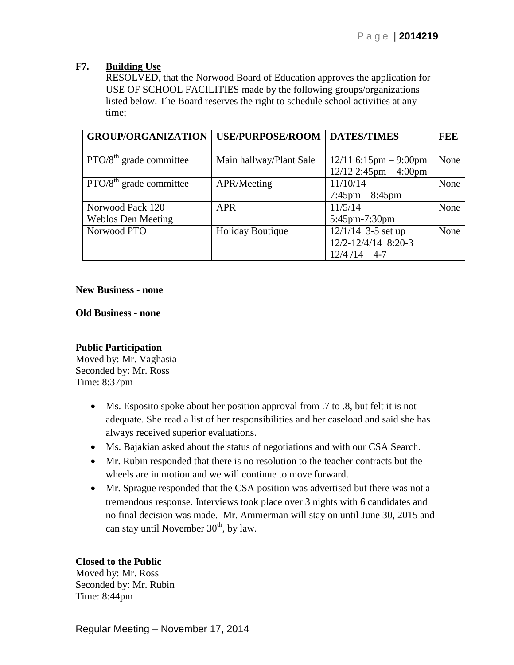## **F7. Building Use**

RESOLVED, that the Norwood Board of Education approves the application for USE OF SCHOOL FACILITIES made by the following groups/organizations listed below. The Board reserves the right to schedule school activities at any time;

| <b>GROUP/ORGANIZATION</b>               | <b>USE/PURPOSE/ROOM</b> | <b>DATES/TIMES</b>                | FEE  |
|-----------------------------------------|-------------------------|-----------------------------------|------|
|                                         |                         |                                   |      |
| $\overline{PTO/8}^{th}$ grade committee | Main hallway/Plant Sale | $12/11$ 6:15pm – 9:00pm           | None |
|                                         |                         | $12/12$ 2:45pm $-$ 4:00pm         |      |
| $\overline{PTO/8}^{th}$ grade committee | APR/Meeting             | 11/10/14                          | None |
|                                         |                         | $7:45 \text{pm} - 8:45 \text{pm}$ |      |
| Norwood Pack 120                        | <b>APR</b>              | 11/5/14                           | None |
| <b>Weblos Den Meeting</b>               |                         | 5:45pm-7:30pm                     |      |
| Norwood PTO                             | <b>Holiday Boutique</b> | $12/1/14$ 3-5 set up              | None |
|                                         |                         | 12/2-12/4/14 8:20-3               |      |
|                                         |                         | $12/4/14$ 4-7                     |      |

#### **New Business - none**

**Old Business - none**

### **Public Participation**

Moved by: Mr. Vaghasia Seconded by: Mr. Ross Time: 8:37pm

- Ms. Esposito spoke about her position approval from .7 to .8, but felt it is not adequate. She read a list of her responsibilities and her caseload and said she has always received superior evaluations.
- Ms. Bajakian asked about the status of negotiations and with our CSA Search.
- Mr. Rubin responded that there is no resolution to the teacher contracts but the wheels are in motion and we will continue to move forward.
- Mr. Sprague responded that the CSA position was advertised but there was not a tremendous response. Interviews took place over 3 nights with 6 candidates and no final decision was made. Mr. Ammerman will stay on until June 30, 2015 and can stay until November  $30<sup>th</sup>$ , by law.

# **Closed to the Public**

Moved by: Mr. Ross Seconded by: Mr. Rubin Time: 8:44pm